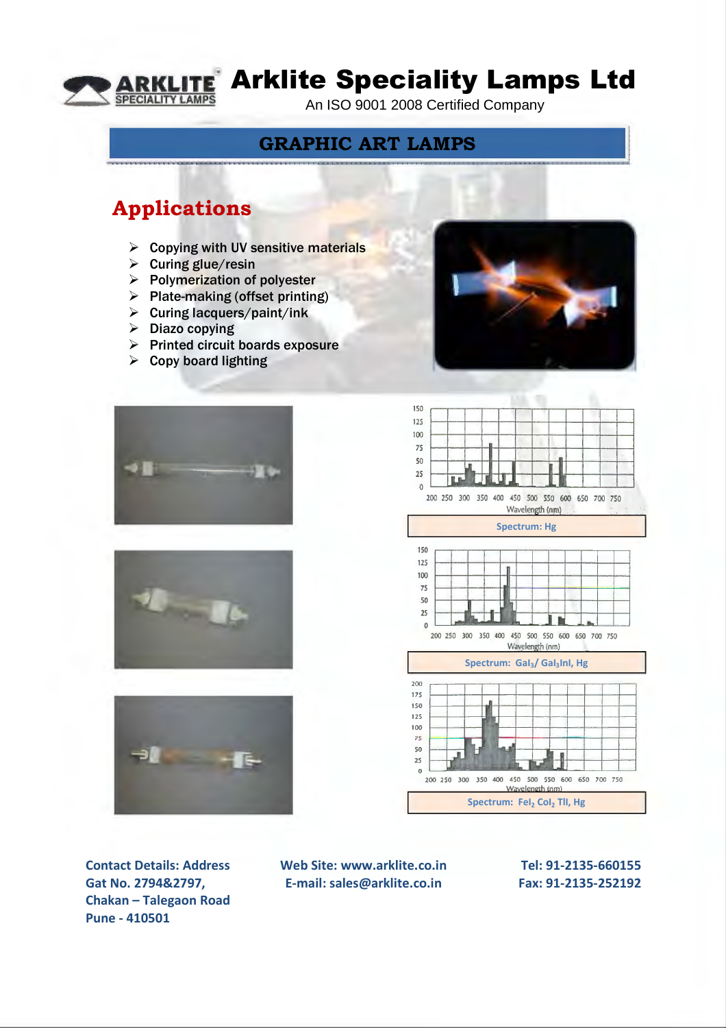

# **TE** Arklite Speciality Lamps Ltd

An ISO 9001 2008 Certified Company

### **GRAPHIC ART LAMPS**

### **Applications**

- $\triangleright$  Copying with UV sensitive materials
- $\triangleright$  Curing glue/resin
- $\triangleright$  Polymerization of polyester
- $\triangleright$  Plate-making (offset printing)
- $\triangleright$  Curing lacquers/paint/ink
- $\triangleright$  Diazo copying
- $\triangleright$  Printed circuit boards exposure
- $\triangleright$  Copy board lighting









**I • -- ~ .. .. I** ' ... <sup>~</sup>

**Contact Details: Address Gat No. 2794&2797, Chakan – Talegaon Road Pune - 410501**

**Web Site: www.arklite.co.in E-mail: sales@arklite.co.in**

**Tel: 91-2135-660155 Fax: 91-2135-252192**